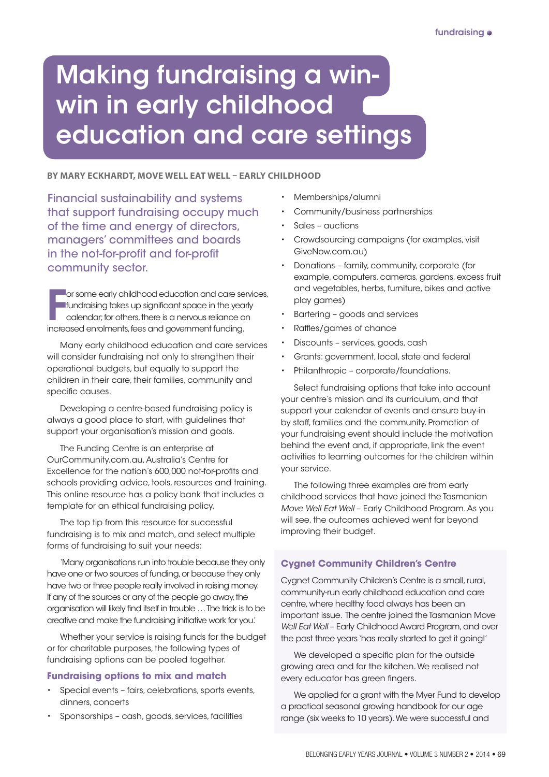# Making fundraising a winwin in early childhood education and care settings

### **BY MARY ECKHARDT, MOVE WELL EAT WELL – EARLY CHILDHOOD**

Financial sustainability and systems that support fundraising occupy much of the time and energy of directors, managers' committees and boards in the not-for-profit and for-profit community sector.

For some early childhood education and care sequendiar; for others, there is a nervous reliance a increased enrolments, fees and government funding. or some early childhood education and care services, fundraising takes up significant space in the yearly calendar; for others, there is a nervous reliance on

Many early childhood education and care services will consider fundraising not only to strengthen their operational budgets, but equally to support the children in their care, their families, community and specific causes.

Developing a centre-based fundraising policy is always a good place to start, with guidelines that support your organisation's mission and goals.

The Funding Centre is an enterprise at OurCommunity.com.au, Australia's Centre for Excellence for the nation's 600,000 not-for-profits and schools providing advice, tools, resources and training. This online resource has a policy bank that includes a template for an ethical fundraising policy.

The top tip from this resource for successful fundraising is to mix and match, and select multiple forms of fundraising to suit your needs:

'Many organisations run into trouble because they only have one or two sources of funding, or because they only have two or three people really involved in raising money. If any of the sources or any of the people go away, the organisation will likely find itself in trouble … The trick is to be creative and make the fundraising initiative work for you.'

Whether your service is raising funds for the budget or for charitable purposes, the following types of fundraising options can be pooled together.

## **Fundraising options to mix and match**

- • Special events fairs, celebrations, sports events, dinners, concerts
- Sponsorships cash, goods, services, facilities
- Memberships/alumni
- Community/business partnerships
- Sales auctions
- Crowdsourcing campaigns (for examples, visit GiveNow.com.au)
- • Donations family, community, corporate (for example, computers, cameras, gardens, excess fruit and vegetables, herbs, furniture, bikes and active play games)
- Bartering goods and services
- • Raffles/games of chance
- Discounts services, goods, cash
- Grants: government, local, state and federal
- Philanthropic corporate/foundations.

Select fundraising options that take into account your centre's mission and its curriculum, and that support your calendar of events and ensure buy-in by staff, families and the community. Promotion of your fundraising event should include the motivation behind the event and, if appropriate, link the event activities to learning outcomes for the children within your service.

The following three examples are from early childhood services that have joined the Tasmanian *Move Well Eat Well* – Early Childhood Program. As you will see, the outcomes achieved went far beyond improving their budget.

# **Cygnet Community Children's Centre**

Cygnet Community Children's Centre is a small, rural, community-run early childhood education and care centre, where healthy food always has been an important issue. The centre joined the Tasmanian Move *Well Eat Well* – Early Childhood Award Program, and over the past three years 'has really started to get it going!'

We developed a specific plan for the outside growing area and for the kitchen. We realised not every educator has green fingers.

We applied for a grant with the Myer Fund to develop a practical seasonal growing handbook for our age range (six weeks to 10 years). We were successful and